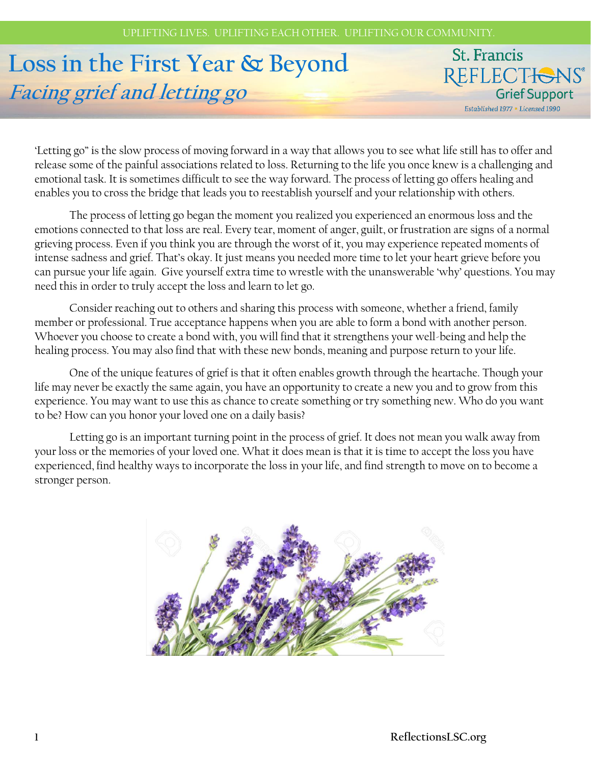# **Loss in the First Year & Beyond Facing grief and letting go**

**St. Francis** REFLECTIONS® **Grief Support** Established 1977 . Licensed 1990

'Letting go" is the slow process of moving forward in a way that allows you to see what life still has to offer and release some of the painful associations related to loss. Returning to the life you once knew is a challenging and emotional task. It is sometimes difficult to see the way forward. The process of letting go offers healing and enables you to cross the bridge that leads you to reestablish yourself and your relationship with others.

The process of letting go began the moment you realized you experienced an enormous loss and the emotions connected to that loss are real. Every tear, moment of anger, guilt, or frustration are signs of a normal grieving process. Even if you think you are through the worst of it, you may experience repeated moments of intense sadness and grief. That's okay. It just means you needed more time to let your heart grieve before you can pursue your life again. Give yourself extra time to wrestle with the unanswerable 'why' questions. You may need this in order to truly accept the loss and learn to let go.

Consider reaching out to others and sharing this process with someone, whether a friend, family member or professional. True acceptance happens when you are able to form a bond with another person. Whoever you choose to create a bond with, you will find that it strengthens your well-being and help the healing process. You may also find that with these new bonds, meaning and purpose return to your life.

One of the unique features of grief is that it often enables growth through the heartache. Though your life may never be exactly the same again, you have an opportunity to create a new you and to grow from this experience. You may want to use this as chance to create something or try something new. Who do you want to be? How can you honor your loved one on a daily basis?

Letting go is an important turning point in the process of grief. It does not mean you walk away from your loss or the memories of your loved one. What it does mean is that it is time to accept the loss you have experienced, find healthy ways to incorporate the loss in your life, and find strength to move on to become a stronger person.

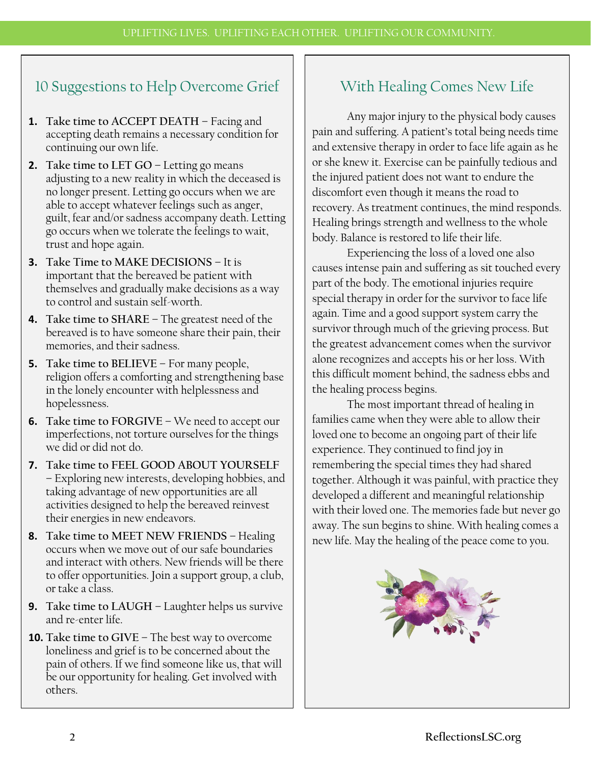## 10 Suggestions to Help Overcome Grief

- **1. Take time to ACCEPT DEATH –** Facing and accepting death remains a necessary condition for continuing our own life.
- **2. Take time to LET GO** Letting go means adjusting to a new reality in which the deceased is no longer present. Letting go occurs when we are able to accept whatever feelings such as anger, guilt, fear and/or sadness accompany death. Letting go occurs when we tolerate the feelings to wait, trust and hope again.
- **3. Take Time to MAKE DECISIONS –** It is important that the bereaved be patient with themselves and gradually make decisions as a way to control and sustain self-worth.
- **4. Take time to SHARE –** The greatest need of the bereaved is to have someone share their pain, their memories, and their sadness.
- **5. Take time to BELIEVE –** For many people, religion offers a comforting and strengthening base in the lonely encounter with helplessness and hopelessness.
- **6. Take time to FORGIVE –** We need to accept our imperfections, not torture ourselves for the things we did or did not do.
- **7. Take time to FEEL GOOD ABOUT YOURSELF –** Exploring new interests, developing hobbies, and taking advantage of new opportunities are all activities designed to help the bereaved reinvest their energies in new endeavors.
- **8. Take time to MEET NEW FRIENDS –** Healing occurs when we move out of our safe boundaries and interact with others. New friends will be there to offer opportunities. Join a support group, a club, or take a class.
- **9. Take time to LAUGH –** Laughter helps us survive and re-enter life.
- **10. Take time to GIVE –** The best way to overcome loneliness and grief is to be concerned about the pain of others. If we find someone like us, that will be our opportunity for healing. Get involved with others.

## With Healing Comes New Life

Any major injury to the physical body causes pain and suffering. A patient's total being needs time and extensive therapy in order to face life again as he or she knew it. Exercise can be painfully tedious and the injured patient does not want to endure the discomfort even though it means the road to recovery. As treatment continues, the mind responds. Healing brings strength and wellness to the whole body. Balance is restored to life their life.

Experiencing the loss of a loved one also causes intense pain and suffering as sit touched every part of the body. The emotional injuries require special therapy in order for the survivor to face life again. Time and a good support system carry the survivor through much of the grieving process. But the greatest advancement comes when the survivor alone recognizes and accepts his or her loss. With this difficult moment behind, the sadness ebbs and the healing process begins.

The most important thread of healing in families came when they were able to allow their loved one to become an ongoing part of their life experience. They continued to find joy in remembering the special times they had shared together. Although it was painful, with practice they developed a different and meaningful relationship with their loved one. The memories fade but never go away. The sun begins to shine. With healing comes a new life. May the healing of the peace come to you.